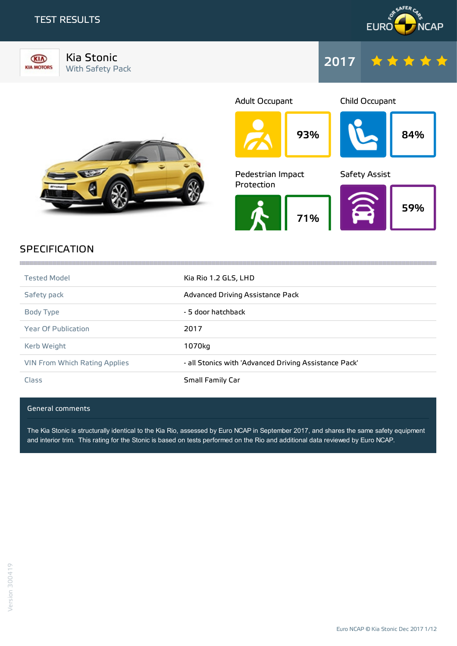### TEST RESULTS





Kia Stonic Kia Stonic<br>With Safety Pack 2017





93% Adult Occupant 84% Child Occupant 71% Pedestrian Impact Protection 59% Safety Assist

## SPECIFICATION

| <b>Tested Model</b>           | Kia Rio 1.2 GLS, LHD                                  |
|-------------------------------|-------------------------------------------------------|
| Safety pack                   | Advanced Driving Assistance Pack                      |
| Body Type                     | - 5 door hatchback                                    |
| <b>Year Of Publication</b>    | 2017                                                  |
| Kerb Weight                   | 1070kg                                                |
| VIN From Which Rating Applies | - all Stonics with 'Advanced Driving Assistance Pack' |
| Class                         | Small Family Car                                      |

the contract of the contract of the contract of the contract of the contract of the contract of the contract of

### General comments

The Kia Stonic is structurally identical to the Kia Rio, assessed by Euro NCAP in September 2017, and shares the same safety equipment and interior trim. This rating for the Stonic is based on tests performed on the Rio and additional data reviewed by Euro NCAP.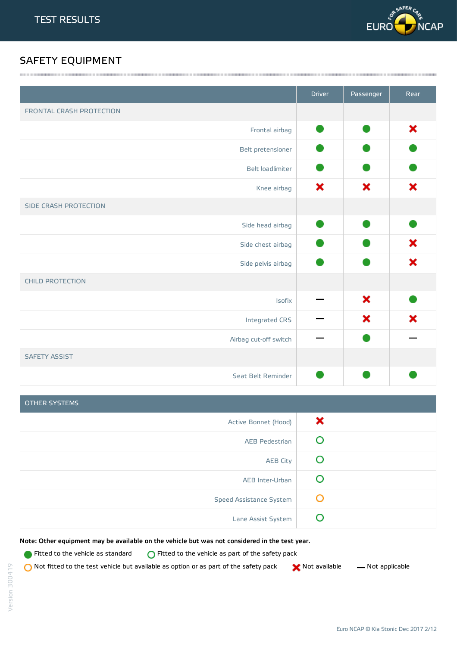

## SAFETY EQUIPMENT

|                          | <b>Driver</b> | Passenger | Rear |
|--------------------------|---------------|-----------|------|
| FRONTAL CRASH PROTECTION |               |           |      |
| Frontal airbag           |               |           | ×    |
| Belt pretensioner        |               |           |      |
| Belt loadlimiter         |               |           |      |
| Knee airbag              | ×             | ×         | ×    |
| SIDE CRASH PROTECTION    |               |           |      |
| Side head airbag         |               |           |      |
| Side chest airbag        |               |           | ×    |
| Side pelvis airbag       |               |           | ×    |
| <b>CHILD PROTECTION</b>  |               |           |      |
| Isofix                   |               | ×         |      |
| Integrated CRS           |               | ×         | ×    |
| Airbag cut-off switch    |               |           |      |
| <b>SAFETY ASSIST</b>     |               |           |      |
| Seat Belt Reminder       |               |           |      |
|                          |               |           |      |

<u> 1989 - Johann Stoff, fransk politik (f. 1989)</u>

| <b>OTHER SYSTEMS</b>    |   |
|-------------------------|---|
| Active Bonnet (Hood)    | x |
| <b>AEB Pedestrian</b>   |   |
| <b>AEB City</b>         |   |
| AEB Inter-Urban         |   |
| Speed Assistance System | O |
| Lane Assist System      |   |

Note: Other equipment may be available on the vehicle but was not considered in the test year.

**Fitted to the vehicle as standard**  $\bigcirc$  Fitted to the vehicle as part of the safety pack

 $\bigcirc$  Not fitted to the test vehicle but available as option or as part of the safety pack  $\bigcirc$  Not available  $\qquad$  Not applicable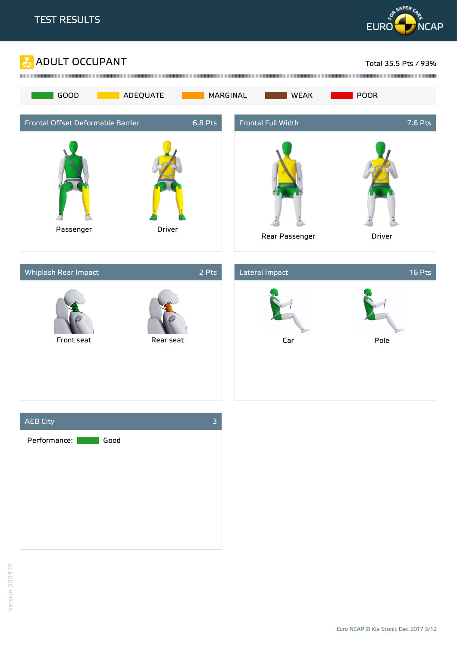







Euro NCAP © Kia Stonic Dec 2017 3/12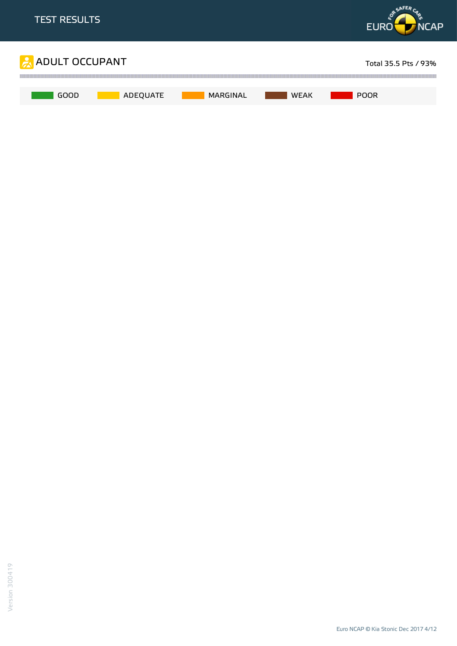

Euro NCAP © Kia Stonic Dec 2017 4/12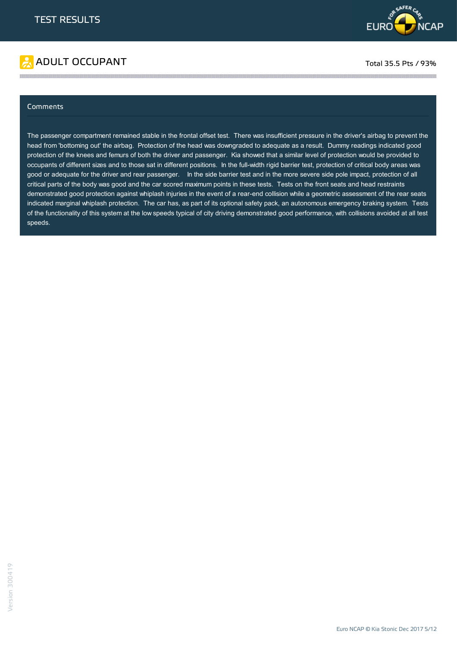

# ADULT OCCUPANT TO A RESERVE TO A RESERVE TO A RESERVE TOTAL TOTAL 35.5 Pts / 93%

### Comments

The passenger compartment remained stable in the frontal offset test. There was insufficient pressure in the driver's airbag to prevent the head from 'bottoming out' the airbag. Protection of the head was downgraded to adequate as a result. Dummy readings indicated good protection of the knees and femurs of both the driver and passenger. Kia showed that a similar level of protection would be provided to occupants of different sizes and to those sat in different positions. In the full-width rigid barrier test, protection of critical body areas was good or adequate for the driver and rear passenger. In the side barrier test and in the more severe side pole impact, protection of all critical parts of the body was good and the car scored maximum points in these tests. Tests on the front seats and head restraints demonstrated good protection against whiplash injuries in the event of a rear-end collision while a geometric assessment of the rear seats indicated marginal whiplash protection. The car has, as part of its optional safety pack, an autonomous emergency braking system. Tests of the functionality of this system at the low speeds typical of city driving demonstrated good performance, with collisions avoided at all test speeds.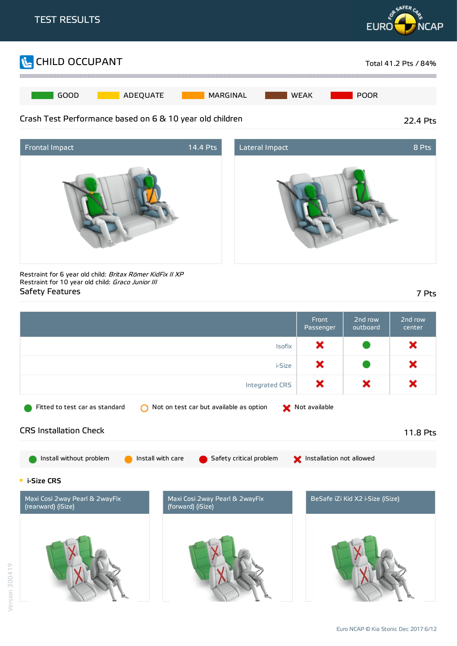





Restraint for 6 year old child: Britax Römer KidFix II XP Restraint for 10 year old child: Graco Junior III Safety Features 7 Pts

|                                                                                                             | Front<br>Passenger       | 2nd row<br>outboard              | 2nd row<br>center |
|-------------------------------------------------------------------------------------------------------------|--------------------------|----------------------------------|-------------------|
| <b>Isofix</b>                                                                                               | ×                        |                                  | ×                 |
| i-Size                                                                                                      | ×                        |                                  | ×                 |
| Integrated CRS                                                                                              | ×                        | ×                                | ×                 |
| Not on test car but available as option<br>Fitted to test car as standard<br>∩                              | Not available            |                                  |                   |
| <b>CRS Installation Check</b>                                                                               |                          |                                  | 11.8 Pts          |
| Install without problem<br>Install with care<br>Safety critical problem                                     | Installation not allowed |                                  |                   |
| <b>E</b> i-Size CRS                                                                                         |                          |                                  |                   |
| Maxi Cosi 2way Pearl & 2wayFix<br>Maxi Cosi 2way Pearl & 2wayFix<br>(rearward) (iSize)<br>(forward) (iSize) |                          | BeSafe iZi Kid X2 i-Size (iSize) |                   |
|                                                                                                             |                          |                                  |                   |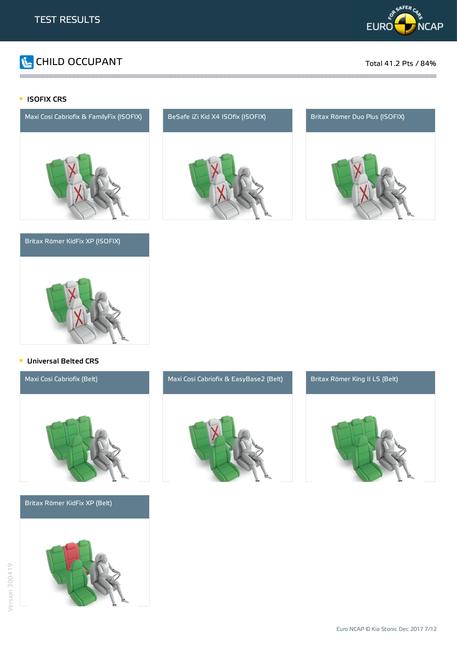

# CHILD OCCUPANT Total 41.2 Pts / 84%

### **ISOFIX CRS**



### Britax Römer KidFix XP (ISOFIX)



and the contract of the contract of the contract of the contract of the contract of the contract of the contract of the contract of the contract of the contract of the contract of the contract of the contract of the contra





### **Universal Belted CRS**



Britax Römer KidFix XP (Belt)





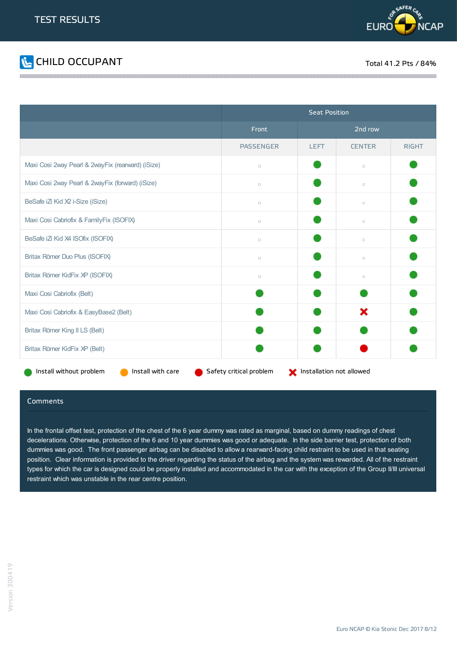



|                                                   | <b>Seat Position</b>    |                          |               |              |
|---------------------------------------------------|-------------------------|--------------------------|---------------|--------------|
|                                                   | Front                   | 2nd row                  |               |              |
|                                                   | <b>PASSENGER</b>        | <b>LEFT</b>              | <b>CENTER</b> | <b>RIGHT</b> |
| Maxi Cosi 2way Pearl & 2wayFix (rearward) (iSize) | $\Box$                  |                          | $\Box$        |              |
| Maxi Cosi 2way Pearl & 2wayFix (forward) (iSize)  | $\Box$                  |                          | $\Box$        |              |
| BeSafe iZi Kid X2 i-Size (iSize)                  | $\Box$                  |                          | $\Box$        |              |
| Maxi Cosi Cabriofix & FamilyFix (ISOFIX)          | $\Box$                  |                          | $\Box$        |              |
| BeSafe iZ Kid X4 ISOfix (ISOFIX)                  | $\Box$                  |                          | $\Box$        |              |
| Britax Römer Duo Plus (ISOFIX)                    | $\Box$                  |                          | $\Box$        |              |
| Britax Römer KidFix XP (ISOFIX)                   | $\Box$                  |                          | $\Box$        |              |
| Maxi Cosi Cabriofix (Belt)                        |                         |                          |               |              |
| Maxi Cosi Cabriofix & EasyBase2 (Belt)            |                         |                          | ×             |              |
| Britax Römer King II LS (Belt)                    |                         |                          |               |              |
| Britax Römer KidFix XP (Belt)                     |                         |                          |               |              |
| Install with care<br>Install without problem      | Safety critical problem | Installation not allowed |               |              |

### Comments

In the frontal offset test, protection of the chest of the 6 year dummy was rated as marginal, based on dummy readings of chest decelerations. Otherwise, protection of the 6 and 10 year dummies was good or adequate. In the side barrier test, protection of both dummies was good. The front passenger airbag can be disabled to allow a rearward-facing child restraint to be used in that seating position. Clear information is provided to the driver regarding the status of the airbag and the system was rewarded. All of the restraint types for which the car is designed could be properly installed and accommodated in the car with the exception of the Group II/III universal restraint which was unstable in the rear centre position.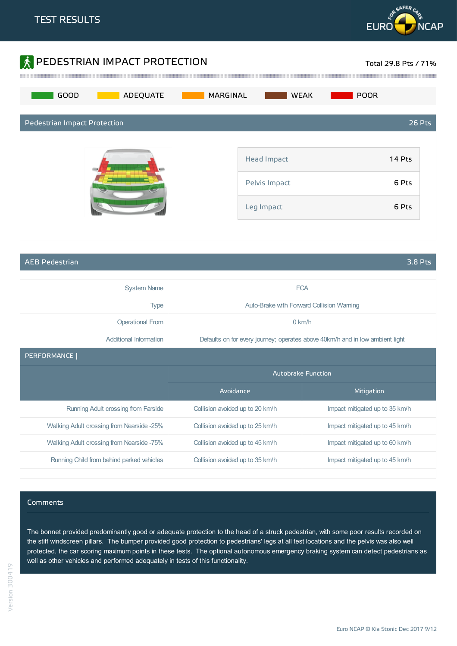



AEB Pedestrian 3.8 Pts

| <b>System Name</b>                        |                                 | <b>FCA</b>                                                                    |  |
|-------------------------------------------|---------------------------------|-------------------------------------------------------------------------------|--|
| <b>Type</b>                               |                                 | Auto-Brake with Forward Collision Warning                                     |  |
| <b>Operational From</b>                   |                                 | $0$ km/h                                                                      |  |
| Additional Information                    |                                 | Defaults on for every journey; operates above 40km/h and in low ambient light |  |
| PERFORMANCE                               |                                 |                                                                               |  |
|                                           | <b>Autobrake Function</b>       |                                                                               |  |
|                                           | Avoidance                       | Mitigation                                                                    |  |
| Running Adult crossing from Farside       | Collision avoided up to 20 km/h | Impact mitigated up to 35 km/h                                                |  |
| Walking Adult crossing from Nearside -25% | Collision avoided up to 25 km/h | Impact mitigated up to 45 km/h                                                |  |
|                                           |                                 |                                                                               |  |
| Walking Adult crossing from Nearside -75% | Collision avoided up to 45 km/h | Impact mitigated up to 60 km/h                                                |  |

### Comments

The bonnet provided predominantly good or adequate protection to the head of a struck pedestrian, with some poor results recorded on the stiff windscreen pillars. The bumper provided good protection to pedestrians' legs at all test locations and the pelvis was also well protected, the car scoring maximum points in these tests. The optional autonomous emergency braking system can detect pedestrians as well as other vehicles and performed adequately in tests of this functionality.

Euro NCAP © Kia Stonic Dec 2017 9/12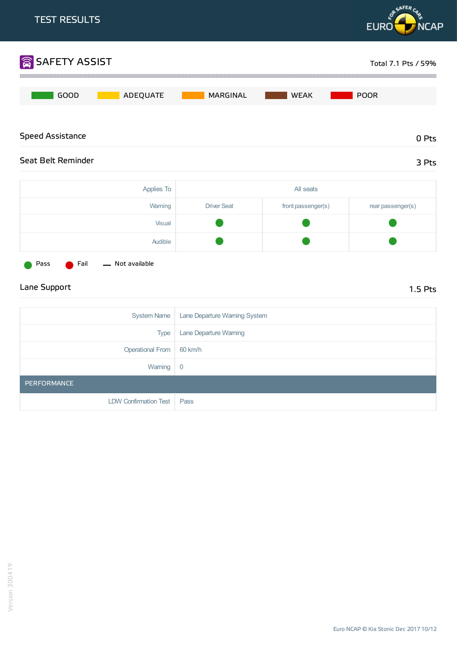

| Applies To | All seats          |                    |                   |
|------------|--------------------|--------------------|-------------------|
| Warning    | <b>Driver Seat</b> | front passenger(s) | rear passenger(s) |
| Visual     |                    |                    |                   |
| Audible    |                    |                    |                   |



## Lane Support 1.5 Pts

| System Name           | Lane Departure Warning System |
|-----------------------|-------------------------------|
| <b>Type</b>           | Lane Departure Warning        |
| Operational From      | 60 km/h                       |
| Warning               | $\overline{0}$                |
| PERFORMANCE           |                               |
| LDW Confirmation Test | Pass                          |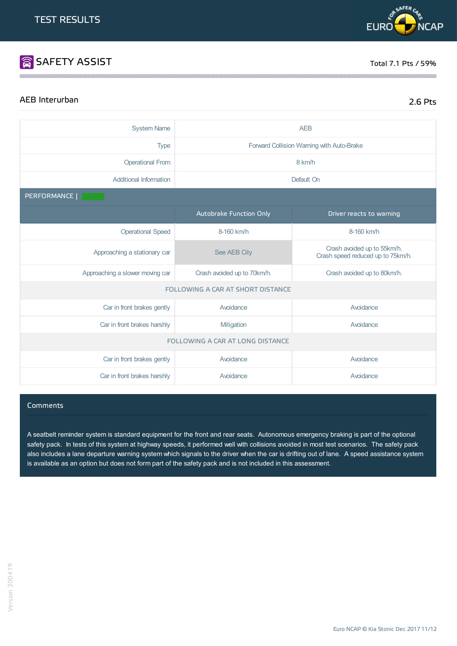# **SAFETY ASSIST** Total 7.1 Pts / 59%

**RISAFERC** 

**EURO** 

## AEB Interurban 2.6 Pts

**NCAP** 

| <b>System Name</b>              | <b>AEB</b>                        |                                                                  |  |  |
|---------------------------------|-----------------------------------|------------------------------------------------------------------|--|--|
| <b>Type</b>                     |                                   | Forward Collision Warning with Auto-Brake                        |  |  |
| <b>Operational From</b>         | 8 km/h                            |                                                                  |  |  |
| <b>Additional Information</b>   | Default On                        |                                                                  |  |  |
| PERFORMANCE                     |                                   |                                                                  |  |  |
|                                 | Autobrake Function Only           | Driver reacts to warning                                         |  |  |
| <b>Operational Speed</b>        | 8-160 km/h                        | 8-160 km/h                                                       |  |  |
| Approaching a stationary car    | See AEB City                      | Crash avoided up to 55km/h.<br>Crash speed reduced up to 75km/h. |  |  |
| Approaching a slower moving car | Crash avoided up to 70km/h.       | Crash avoided up to 80km/h.                                      |  |  |
|                                 | FOLLOWING A CAR AT SHORT DISTANCE |                                                                  |  |  |
| Car in front brakes gently      | Avoidance                         | Avoidance                                                        |  |  |
| Car in front brakes harshly     | Mitigation                        | Avoidance                                                        |  |  |
|                                 | FOLLOWING A CAR AT LONG DISTANCE  |                                                                  |  |  |
| Car in front brakes gently      | Avoidance                         | Avoidance                                                        |  |  |
| Car in front brakes harshly     | Avoidance                         | Avoidance                                                        |  |  |

### **Comments**

A seatbelt reminder system is standard equipment for the front and rear seats. Autonomous emergency braking is part of the optional safety pack. In tests of this system at highway speeds, it performed well with collisions avoided in most test scenarios. The safety pack also includes a lane departure warning system which signals to the driver when the car is drifting out of lane. A speed assistance system is available as an option but does not form part of the safety pack and is not included in this assessment.